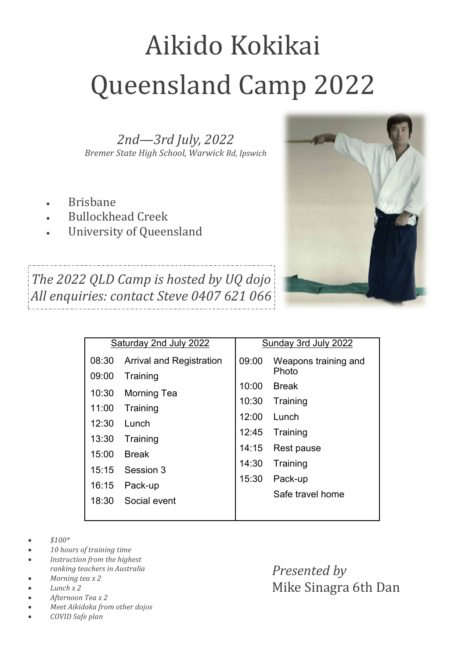## Aikido Kokikai Queensland Camp 2022

*2nd—3rd July, 2022 Bremer State High School, Warwick Rd, Ipswich*

- Brisbane
- Bullockhead Creek
- University of Queensland



*The 2022 QLD Camp is hosted by UQ dojo All enquiries: contact Steve 0407 621 066*

| Saturday 2nd July 2022 |                                 | Sunday 3rd July 2022 |                      |
|------------------------|---------------------------------|----------------------|----------------------|
| 08:30                  | <b>Arrival and Registration</b> | 09:00                | Weapons training and |
| 09:00                  | Training                        |                      | Photo                |
| 10:30                  | <b>Morning Tea</b>              | 10:00                | <b>Break</b>         |
| 11:00                  |                                 | 10:30                | Training             |
|                        | Training                        | 12:00                | Lunch                |
| 12:30                  | Lunch                           | 12:45                | Training             |
| 13:30                  | Training                        |                      |                      |
| 15:00                  | <b>Break</b>                    | 14:15                | Rest pause           |
| 15:15                  | Session 3                       | 14:30                | Training             |
|                        |                                 | 15:30                | Pack-up              |
| 16:15                  | Pack-up                         |                      | Safe travel home     |
| 18:30                  | Social event                    |                      |                      |
|                        |                                 |                      |                      |

- *\$100\**
- *10 hours of training time*
- *Instruction from the highest ranking teachers in Australia*
- *Morning tea x 2*
- *Lunch x 2*
- *Afternoon Tea x 2*
- *Meet Aikidoka from other dojos*
- *COVID Safe plan*

*Presented by* Mike Sinagra 6th Dan